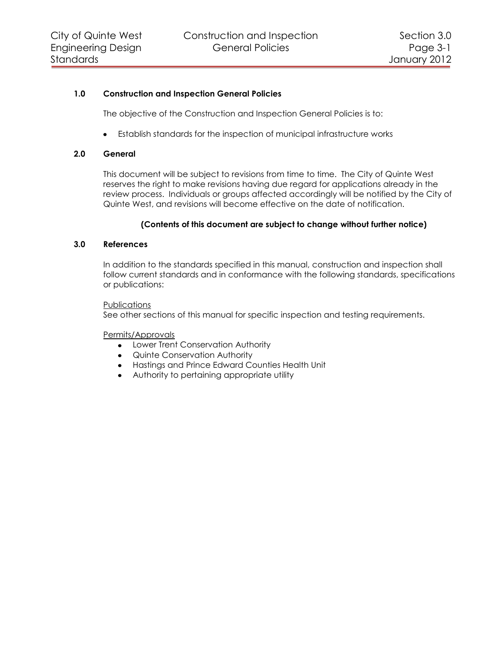# **1.0 Construction and Inspection General Policies**

The objective of the Construction and Inspection General Policies is to:

Establish standards for the inspection of municipal infrastructure works

## **2.0 General**

This document will be subject to revisions from time to time. The City of Quinte West reserves the right to make revisions having due regard for applications already in the review process. Individuals or groups affected accordingly will be notified by the City of Quinte West, and revisions will become effective on the date of notification.

# **(Contents of this document are subject to change without further notice)**

# **3.0 References**

In addition to the standards specified in this manual, construction and inspection shall follow current standards and in conformance with the following standards, specifications or publications:

## **Publications**

See other sections of this manual for specific inspection and testing requirements.

#### Permits/Approvals

- Lower Trent Conservation Authority
- Quinte Conservation Authority
- Hastings and Prince Edward Counties Health Unit
- Authority to pertaining appropriate utility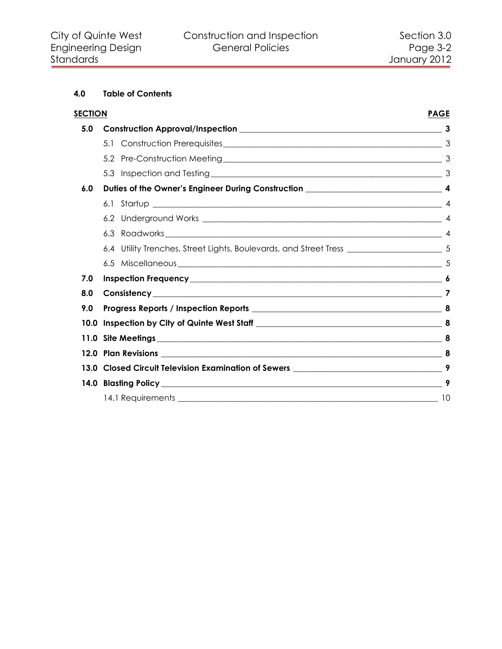# **4.0 Table of Contents**

| <b>SECTION</b> | <b>PAGE</b>                                                                                            |   |
|----------------|--------------------------------------------------------------------------------------------------------|---|
| 5.0            |                                                                                                        |   |
|                |                                                                                                        |   |
|                |                                                                                                        |   |
|                |                                                                                                        |   |
| 6.0            |                                                                                                        |   |
|                |                                                                                                        |   |
|                |                                                                                                        |   |
|                |                                                                                                        |   |
|                | 6.4 Utility Trenches, Street Lights, Boulevards, and Street Tress __________________________________ 5 |   |
|                |                                                                                                        |   |
| 7.0            |                                                                                                        |   |
| 8.0            |                                                                                                        |   |
| 9.0            |                                                                                                        |   |
| 10.0           |                                                                                                        | 8 |
| 11.0           |                                                                                                        | 8 |
|                |                                                                                                        |   |
|                |                                                                                                        |   |
|                |                                                                                                        | 9 |
|                |                                                                                                        |   |
|                |                                                                                                        |   |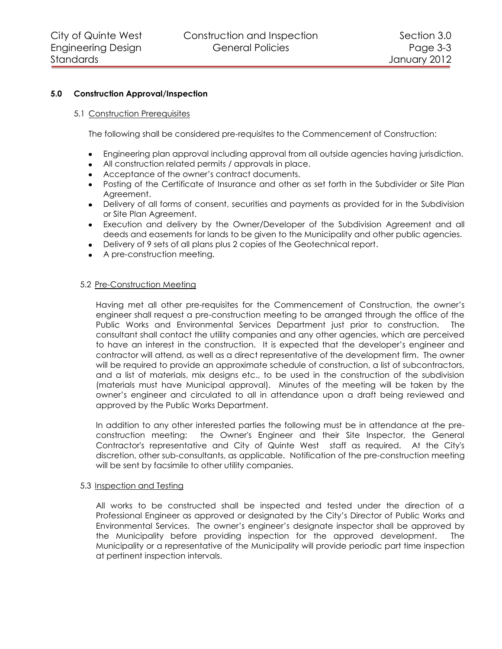## **5.0 Construction Approval/Inspection**

#### <span id="page-2-1"></span><span id="page-2-0"></span>5.1 Construction Prerequisites

The following shall be considered pre-requisites to the Commencement of Construction:

- Engineering plan approval including approval from all outside agencies having jurisdiction.
- All construction related permits / approvals in place.
- Acceptance of the owner's contract documents.
- Posting of the Certificate of Insurance and other as set forth in the Subdivider or Site Plan Agreement.
- Delivery of all forms of consent, securities and payments as provided for in the Subdivision or Site Plan Agreement.
- Execution and delivery by the Owner/Developer of the Subdivision Agreement and all deeds and easements for lands to be given to the Municipality and other public agencies.
- Delivery of 9 sets of all plans plus 2 copies of the Geotechnical report.
- A pre-construction meeting.

#### <span id="page-2-2"></span>5.2 Pre-Construction Meeting

Having met all other pre-requisites for the Commencement of Construction, the owner's engineer shall request a pre-construction meeting to be arranged through the office of the Public Works and Environmental Services Department just prior to construction. The consultant shall contact the utility companies and any other agencies, which are perceived to have an interest in the construction. It is expected that the developer's engineer and contractor will attend, as well as a direct representative of the development firm. The owner will be required to provide an approximate schedule of construction, a list of subcontractors, and a list of materials, mix designs etc., to be used in the construction of the subdivision (materials must have Municipal approval). Minutes of the meeting will be taken by the owner's engineer and circulated to all in attendance upon a draft being reviewed and approved by the Public Works Department.

In addition to any other interested parties the following must be in attendance at the preconstruction meeting: the Owner's Engineer and their Site Inspector, the General Contractor's representative and City of Quinte West staff as required. At the City's discretion, other sub-consultants, as applicable. Notification of the pre-construction meeting will be sent by facsimile to other utility companies.

#### <span id="page-2-3"></span>5.3 Inspection and Testing

All works to be constructed shall be inspected and tested under the direction of a Professional Engineer as approved or designated by the City's Director of Public Works and Environmental Services. The owner's engineer's designate inspector shall be approved by the Municipality before providing inspection for the approved development. The Municipality or a representative of the Municipality will provide periodic part time inspection at pertinent inspection intervals.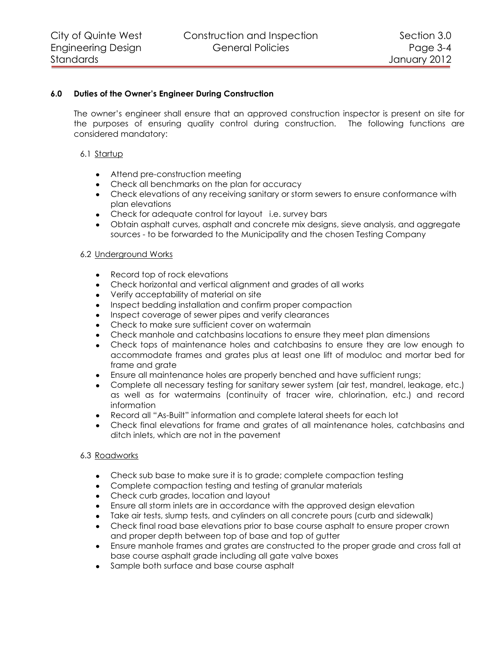# **6.0 Duties of the Owner's Engineer During Construction**

<span id="page-3-0"></span>The owner's engineer shall ensure that an approved construction inspector is present on site for the purposes of ensuring quality control during construction. The following functions are considered mandatory:

## <span id="page-3-1"></span>6.1 Startup

- Attend pre-construction meeting
- Check all benchmarks on the plan for accuracy
- Check elevations of any receiving sanitary or storm sewers to ensure conformance with plan elevations
- Check for adequate control for layout i.e. survey bars
- Obtain asphalt curves, asphalt and concrete mix designs, sieve analysis, and aggregate sources - to be forwarded to the Municipality and the chosen Testing Company

## <span id="page-3-2"></span>6.2 Underground Works

- Record top of rock elevations
- Check horizontal and vertical alignment and grades of all works
- Verify acceptability of material on site
- Inspect bedding installation and confirm proper compaction
- Inspect coverage of sewer pipes and verify clearances
- Check to make sure sufficient cover on watermain
- Check manhole and catchbasins locations to ensure they meet plan dimensions
- Check tops of maintenance holes and catchbasins to ensure they are low enough to accommodate frames and grates plus at least one lift of moduloc and mortar bed for frame and grate
- Ensure all maintenance holes are properly benched and have sufficient rungs;  $\bullet$
- Complete all necessary testing for sanitary sewer system (air test, mandrel, leakage, etc.) as well as for watermains (continuity of tracer wire, chlorination, etc.) and record information
- Record all "As-Built" information and complete lateral sheets for each lot
- Check final elevations for frame and grates of all maintenance holes, catchbasins and ditch inlets, which are not in the pavement

#### <span id="page-3-3"></span>6.3 Roadworks

- Check sub base to make sure it is to grade; complete compaction testing
- Complete compaction testing and testing of granular materials
- Check curb grades, location and layout
- Ensure all storm inlets are in accordance with the approved design elevation
- Take air tests, slump tests, and cylinders on all concrete pours (curb and sidewalk)
- Check final road base elevations prior to base course asphalt to ensure proper crown and proper depth between top of base and top of gutter
- Ensure manhole frames and grates are constructed to the proper grade and cross fall at  $\bullet$ base course asphalt grade including all gate valve boxes
- Sample both surface and base course asphalt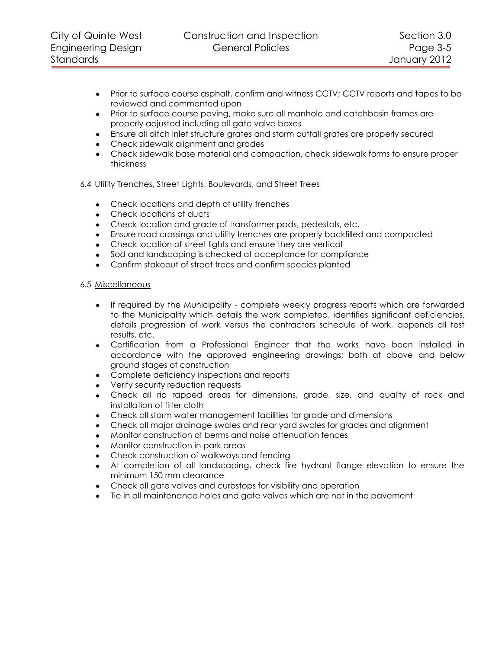- Prior to surface course asphalt, confirm and witness CCTV; CCTV reports and tapes to be reviewed and commented upon
- Prior to surface course paving, make sure all manhole and catchbasin frames are properly adjusted including all gate valve boxes
- Ensure all ditch inlet structure grates and storm outfall grates are properly secured
- Check sidewalk alignment and grades
- Check sidewalk base material and compaction, check sidewalk forms to ensure proper thickness

# <span id="page-4-0"></span>6.4 Utility Trenches, Street Lights, Boulevards, and Street Trees

- Check locations and depth of utility trenches
- Check locations of ducts
- Check location and grade of transformer pads, pedestals, etc.
- Ensure road crossings and utility trenches are properly backfilled and compacted
- Check location of street lights and ensure they are vertical
- Sod and landscaping is checked at acceptance for compliance
- Confirm stakeout of street trees and confirm species planted

# <span id="page-4-1"></span>6.5 Miscellaneous

- If required by the Municipality complete weekly progress reports which are forwarded to the Municipality which details the work completed, identifies significant deficiencies, details progression of work versus the contractors schedule of work, appends all test results, etc.
- Certification from a Professional Engineer that the works have been installed in accordance with the approved engineering drawings; both at above and below ground stages of construction
- Complete deficiency inspections and reports
- Verify security reduction requests
- Check all rip rapped areas for dimensions, grade, size, and quality of rock and installation of filter cloth
- Check all storm water management facilities for grade and dimensions
- Check all major drainage swales and rear yard swales for grades and alignment
- Monitor construction of berms and noise attenuation fences
- Monitor construction in park areas
- Check construction of walkways and fencing
- At completion of all landscaping, check fire hydrant flange elevation to ensure the minimum 150 mm clearance
- Check all gate valves and curbstops for visibility and operation
- Tie in all maintenance holes and gate valves which are not in the pavement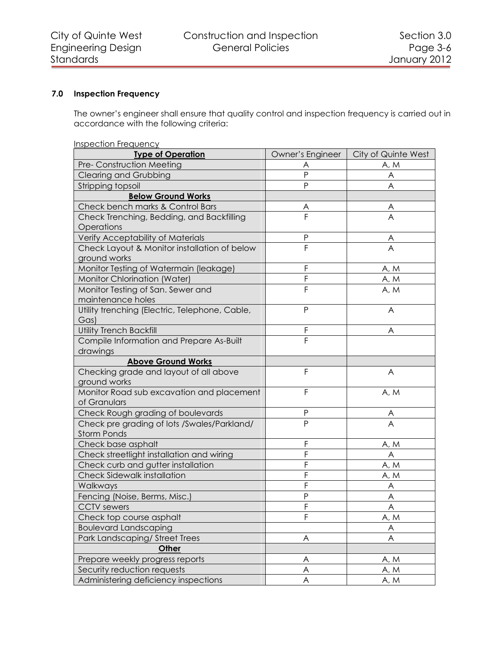# **7.0 Inspection Frequency**

<span id="page-5-0"></span>The owner's engineer shall ensure that quality control and inspection frequency is carried out in accordance with the following criteria:

| <b>Inspection Frequency</b>                             |                           |                     |  |  |  |
|---------------------------------------------------------|---------------------------|---------------------|--|--|--|
| <b>Type of Operation</b>                                | Owner's Engineer          | City of Quinte West |  |  |  |
| Pre- Construction Meeting                               | Α                         | A, M                |  |  |  |
| Clearing and Grubbing                                   | P                         | A                   |  |  |  |
| Stripping topsoil                                       | P                         | A                   |  |  |  |
| <b>Below Ground Works</b>                               |                           |                     |  |  |  |
| Check bench marks & Control Bars                        | A                         | A                   |  |  |  |
| Check Trenching, Bedding, and Backfilling<br>Operations | F                         | $\overline{A}$      |  |  |  |
| Verify Acceptability of Materials                       | P                         |                     |  |  |  |
| Check Layout & Monitor installation of below            | $\overline{\mathsf{F}}$   | $\frac{A}{A}$       |  |  |  |
| ground works                                            |                           |                     |  |  |  |
| Monitor Testing of Watermain (leakage)                  | F                         | A, M                |  |  |  |
| <b>Monitor Chlorination (Water)</b>                     | F                         | A, M                |  |  |  |
| Monitor Testing of San. Sewer and                       | F                         | A, M                |  |  |  |
| maintenance holes                                       |                           |                     |  |  |  |
| Utility trenching (Electric, Telephone, Cable,          | P                         | A                   |  |  |  |
| Gas)                                                    |                           |                     |  |  |  |
| <b>Utility Trench Backfill</b>                          | F                         | Α                   |  |  |  |
| Compile Information and Prepare As-Built                | F                         |                     |  |  |  |
| drawings                                                |                           |                     |  |  |  |
| <b>Above Ground Works</b>                               |                           |                     |  |  |  |
| Checking grade and layout of all above                  | F                         | A                   |  |  |  |
| ground works                                            |                           |                     |  |  |  |
| Monitor Road sub excavation and placement               | F                         | A, M                |  |  |  |
| of Granulars                                            |                           |                     |  |  |  |
| Check Rough grading of boulevards                       | P                         | A                   |  |  |  |
| Check pre grading of lots /Swales/Parkland/             | P                         | $\overline{A}$      |  |  |  |
| <b>Storm Ponds</b>                                      |                           |                     |  |  |  |
| Check base asphalt                                      | F                         | A, M                |  |  |  |
| Check streetlight installation and wiring               | F                         | A                   |  |  |  |
| Check curb and gutter installation                      | F                         | A, M                |  |  |  |
| <b>Check Sidewalk installation</b>                      | F                         | A, M                |  |  |  |
| Walkways                                                | F                         | A                   |  |  |  |
| Fencing (Noise, Berms, Misc.)                           | Ρ                         | A                   |  |  |  |
| <b>CCTV</b> sewers                                      | F                         | A                   |  |  |  |
| Check top course asphalt                                | F                         | A, M                |  |  |  |
| <b>Boulevard Landscaping</b>                            |                           | A                   |  |  |  |
| Park Landscaping/Street Trees                           | $\boldsymbol{\mathsf{A}}$ | A                   |  |  |  |
| Other                                                   |                           |                     |  |  |  |
| Prepare weekly progress reports                         | A                         | A, M                |  |  |  |
| Security reduction requests                             | A                         | A, M                |  |  |  |
| Administering deficiency inspections                    | A                         | A, M                |  |  |  |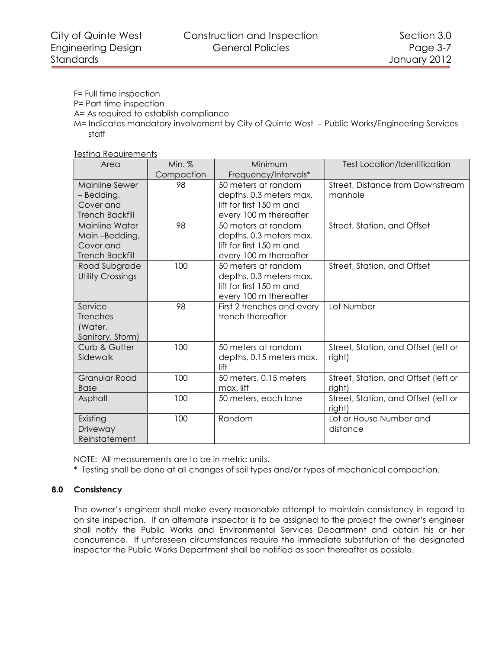F= Full time inspection

P= Part time inspection

A= As required to establish compliance

M= Indicates mandatory involvement by City of Quinte West – Public Works/Engineering Services staff

Testing Requirements

| Area                     | Min. $%$   | Minimum                    | <b>Test Location/Identification</b>  |
|--------------------------|------------|----------------------------|--------------------------------------|
|                          | Compaction | Frequency/Intervals*       |                                      |
| Mainline Sewer           | 98         | 50 meters at random        | Street, Distance from Downstream     |
| – Bedding,               |            | depths, 0.3 meters max.    | manhole                              |
| Cover and                |            | lift for first 150 m and   |                                      |
| <b>Trench Backfill</b>   |            | every 100 m thereafter     |                                      |
| Mainline Water           | 98         | 50 meters at random        | Street, Station, and Offset          |
| Main-Bedding,            |            | depths, 0.3 meters max.    |                                      |
| Cover and                |            | lift for first 150 m and   |                                      |
| <b>Trench Backfill</b>   |            | every 100 m thereafter     |                                      |
| Road Subgrade            | 100        | 50 meters at random        | Street, Station, and Offset          |
| <b>Utility Crossings</b> |            | depths, 0.3 meters max.    |                                      |
|                          |            | lift for first 150 m and   |                                      |
|                          |            | every 100 m thereafter     |                                      |
| Service                  | 98         | First 2 trenches and every | Lot Number                           |
| Trenches                 |            | trench thereafter          |                                      |
| (Water,                  |            |                            |                                      |
| Sanitary, Storm)         |            |                            |                                      |
| Curb & Gutter            | 100        | 50 meters at random        | Street, Station, and Offset (left or |
| Sidewalk                 |            | depths, 0.15 meters max.   | right)                               |
|                          |            | lift                       |                                      |
| <b>Granular Road</b>     | 100        | 50 meters, 0.15 meters     | Street, Station, and Offset (left or |
| <b>Base</b>              |            | max. lift                  | right)                               |
| Asphalt                  | 100        | 50 meters, each lane       | Street, Station, and Offset (left or |
|                          |            |                            | right)                               |
| Existing                 | 100        | Random                     | Lot or House Number and              |
| Driveway                 |            |                            | distance                             |
| Reinstatement            |            |                            |                                      |

NOTE: All measurements are to be in metric units.

<span id="page-6-0"></span>\* Testing shall be done at all changes of soil types and/or types of mechanical compaction.

# **8.0 Consistency**

The owner's engineer shall make every reasonable attempt to maintain consistency in regard to on site inspection. If an alternate inspector is to be assigned to the project the owner's engineer shall notify the Public Works and Environmental Services Department and obtain his or her concurrence. If unforeseen circumstances require the immediate substitution of the designated inspector the Public Works Department shall be notified as soon thereafter as possible.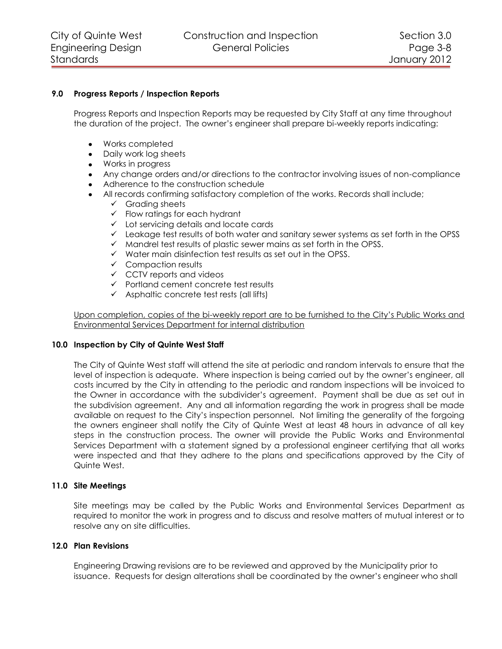## <span id="page-7-0"></span>**9.0 Progress Reports / Inspection Reports**

Progress Reports and Inspection Reports may be requested by City Staff at any time throughout the duration of the project. The owner's engineer shall prepare bi-weekly reports indicating:

- Works completed
- Daily work log sheets  $\bullet$
- Works in progress
- Any change orders and/or directions to the contractor involving issues of non-compliance
- Adherence to the construction schedule
- All records confirming satisfactory completion of the works. Records shall include;
	- $\checkmark$  Grading sheets
	- $\checkmark$  Flow ratings for each hydrant
	- $\checkmark$  Lot servicing details and locate cards
	- $\checkmark$  Leakage test results of both water and sanitary sewer systems as set forth in the OPSS
	- $\checkmark$  Mandrel test results of plastic sewer mains as set forth in the OPSS.
	- $\checkmark$  Water main disinfection test results as set out in the OPSS.
	- $\checkmark$  Compaction results
	- $\checkmark$  CCTV reports and videos
	- $\checkmark$  Portland cement concrete test results
	- $\checkmark$  Asphaltic concrete test rests (all lifts)

Upon completion, copies of the bi-weekly report are to be furnished to the City's Public Works and Environmental Services Department for internal distribution

#### <span id="page-7-1"></span>**10.0 Inspection by City of Quinte West Staff**

The City of Quinte West staff will attend the site at periodic and random intervals to ensure that the level of inspection is adequate. Where inspection is being carried out by the owner's engineer, all costs incurred by the City in attending to the periodic and random inspections will be invoiced to the Owner in accordance with the subdivider's agreement. Payment shall be due as set out in the subdivision agreement. Any and all information regarding the work in progress shall be made available on request to the City's inspection personnel. Not limiting the generality of the forgoing the owners engineer shall notify the City of Quinte West at least 48 hours in advance of all key steps in the construction process. The owner will provide the Public Works and Environmental Services Department with a statement signed by a professional engineer certifying that all works were inspected and that they adhere to the plans and specifications approved by the City of Quinte West.

#### <span id="page-7-2"></span>**11.0 Site Meetings**

Site meetings may be called by the Public Works and Environmental Services Department as required to monitor the work in progress and to discuss and resolve matters of mutual interest or to resolve any on site difficulties.

## <span id="page-7-3"></span>**12.0 Plan Revisions**

Engineering Drawing revisions are to be reviewed and approved by the Municipality prior to issuance. Requests for design alterations shall be coordinated by the owner's engineer who shall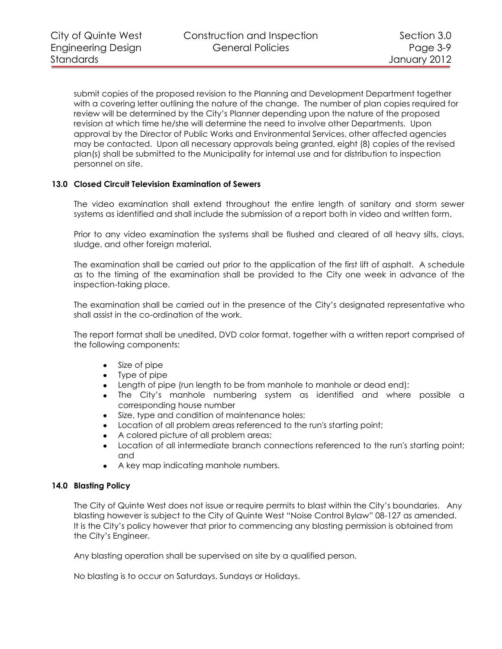submit copies of the proposed revision to the Planning and Development Department together with a covering letter outlining the nature of the change. The number of plan copies required for review will be determined by the City's Planner depending upon the nature of the proposed revision at which time he/she will determine the need to involve other Departments. Upon approval by the Director of Public Works and Environmental Services, other affected agencies may be contacted. Upon all necessary approvals being granted, eight (8) copies of the revised plan(s) shall be submitted to the Municipality for internal use and for distribution to inspection personnel on site.

## <span id="page-8-0"></span>**13.0 Closed Circuit Television Examination of Sewers**

The video examination shall extend throughout the entire length of sanitary and storm sewer systems as identified and shall include the submission of a report both in video and written form.

Prior to any video examination the systems shall be flushed and cleared of all heavy silts, clays, sludge, and other foreign material.

The examination shall be carried out prior to the application of the first lift of asphalt. A schedule as to the timing of the examination shall be provided to the City one week in advance of the inspection-taking place.

The examination shall be carried out in the presence of the City's designated representative who shall assist in the co-ordination of the work.

The report format shall be unedited, DVD color format, together with a written report comprised of the following components:

- Size of pipe  $\bullet$
- Type of pipe
- Length of pipe (run length to be from manhole to manhole or dead end);
- The City's manhole numbering system as identified and where possible a corresponding house number
- $\bullet$ Size, type and condition of maintenance holes;
- Location of all problem areas referenced to the run's starting point;
- A colored picture of all problem areas;  $\bullet$
- Location of all intermediate branch connections referenced to the run's starting point;  $\bullet$ and
- A key map indicating manhole numbers.

#### <span id="page-8-1"></span>**14.0 Blasting Policy**

The City of Quinte West does not issue or require permits to blast within the City's boundaries. Any blasting however is subject to the City of Quinte West "Noise Control Bylaw" 08-127 as amended. It is the City's policy however that prior to commencing any blasting permission is obtained from the City's Engineer.

Any blasting operation shall be supervised on site by a qualified person.

No blasting is to occur on Saturdays, Sundays or Holidays.